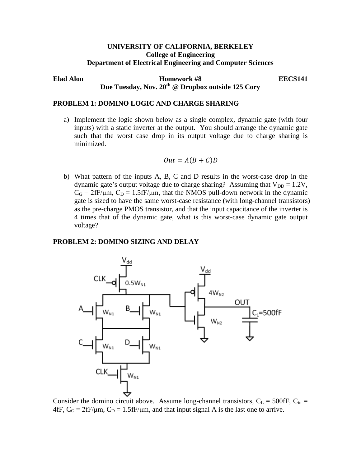## **UNIVERSITY OF CALIFORNIA, BERKELEY College of Engineering Department of Electrical Engineering and Computer Sciences**

**Elad Alon Homework #8 EECS141** Due Tuesday, Nov. 20<sup>th</sup> @ Dropbox outside 125 Cory

## **PROBLEM 1: DOMINO LOGIC AND CHARGE SHARING**

a) Implement the logic shown below as a single complex, dynamic gate (with four inputs) with a static inverter at the output. You should arrange the dynamic gate such that the worst case drop in its output voltage due to charge sharing is minimized.

$$
Out = A(B+C)D
$$

b) What pattern of the inputs A, B, C and D results in the worst-case drop in the dynamic gate's output voltage due to charge sharing? Assuming that  $V_{DD} = 1.2V$ ,  $C_G = 2fF/\mu m$ ,  $C_D = 1.5fF/\mu m$ , that the NMOS pull-down network in the dynamic gate is sized to have the same worst-case resistance (with long-channel transistors) as the pre-charge PMOS transistor, and that the input capacitance of the inverter is 4 times that of the dynamic gate, what is this worst-case dynamic gate output voltage?

## **PROBLEM 2: DOMINO SIZING AND DELAY**



Consider the domino circuit above. Assume long-channel transistors,  $C_L = 500$  fF,  $C_{in} =$  $4fF, C_G = 2fF/\mu m, C_D = 1.5fF/\mu m$ , and that input signal A is the last one to arrive.